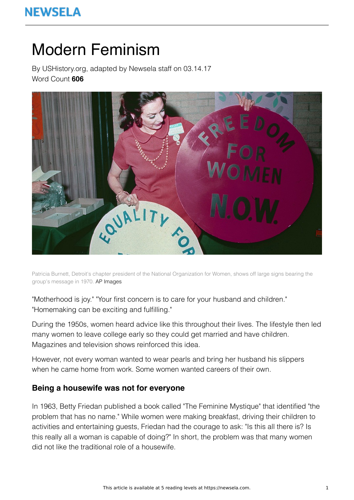# Modern Feminism

By USHistory.org, adapted by Newsela staff on 03.14.17 Word Count **606**



Patricia Burnett, Detroit's chapter president of the National Organization for Women, shows off large signs bearing the group's message in 1970. AP Images

"Motherhood is joy." "Your first concern is to care for your husband and children." "Homemaking can be exciting and fulfilling."

During the 1950s, women heard advice like this throughout their lives. The lifestyle then led many women to leave college early so they could get married and have children. Magazines and television shows reinforced this idea.

However, not every woman wanted to wear pearls and bring her husband his slippers when he came home from work. Some women wanted careers of their own.

#### **Being a housewife was not for everyone**

In 1963, Betty Friedan published a book called "The Feminine Mystique" that identified "the problem that has no name." While women were making breakfast, driving their children to activities and entertaining guests, Friedan had the courage to ask: "Is this all there is? Is this really all a woman is capable of doing?" In short, the problem was that many women did not like the traditional role of a housewife.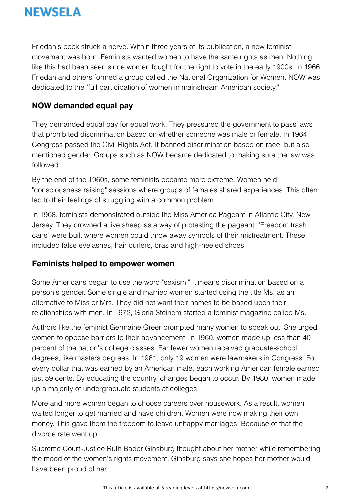Friedan's book struck a nerve. Within three years of its publication, a new feminist movement was born. Feminists wanted women to have the same rights as men. Nothing like this had been seen since women fought for the right to vote in the early 1900s. In 1966, Friedan and others formed a group called the National Organization for Women. NOW was dedicated to the "full participation of women in mainstream American society."

### **NOW demanded equal pay**

They demanded equal pay for equal work. They pressured the government to pass laws that prohibited discrimination based on whether someone was male or female. In 1964, Congress passed the Civil Rights Act. It banned discrimination based on race, but also mentioned gender. Groups such as NOW became dedicated to making sure the law was followed.

By the end of the 1960s, some feminists became more extreme. Women held "consciousness raising" sessions where groups of females shared experiences. This often led to their feelings of struggling with a common problem.

In 1968, feminists demonstrated outside the Miss America Pageant in Atlantic City, New Jersey. They crowned a live sheep as a way of protesting the pageant. "Freedom trash cans" were built where women could throw away symbols of their mistreatment. These included false eyelashes, hair curlers, bras and high-heeled shoes.

#### **Feminists helped to empower women**

Some Americans began to use the word "sexism." It means discrimination based on a person's gender. Some single and married women started using the title Ms. as an alternative to Miss or Mrs. They did not want their names to be based upon their relationships with men. In 1972, Gloria Steinem started a feminist magazine called Ms.

Authors like the feminist Germaine Greer prompted many women to speak out. She urged women to oppose barriers to their advancement. In 1960, women made up less than 40 percent of the nation's college classes. Far fewer women received graduate-school degrees, like masters degrees. In 1961, only 19 women were lawmakers in Congress. For every dollar that was earned by an American male, each working American female earned just 59 cents. By educating the country, changes began to occur. By 1980, women made up a majority of undergraduate students at colleges.

More and more women began to choose careers over housework. As a result, women waited longer to get married and have children. Women were now making their own money. This gave them the freedom to leave unhappy marriages. Because of that the divorce rate went up.

Supreme Court Justice Ruth Bader Ginsburg thought about her mother while remembering the mood of the women's rights movement. Ginsburg says she hopes her mother would have been proud of her.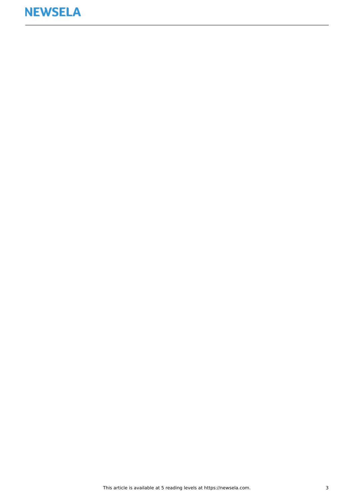